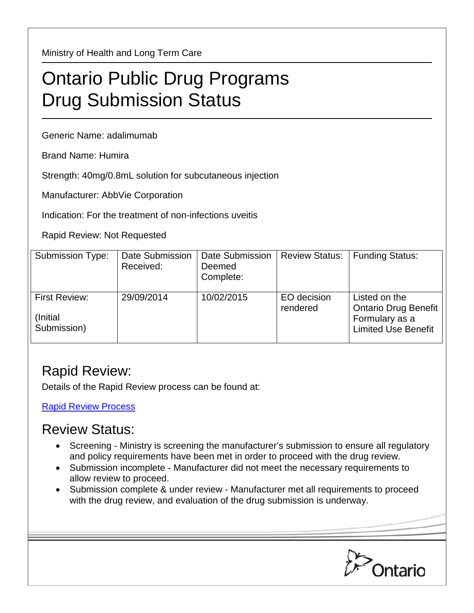Ministry of Health and Long Term Care

## Ontario Public Drug Programs Drug Submission Status

Generic Name: adalimumab

Brand Name: Humira

Strength: 40mg/0.8mL solution for subcutaneous injection

Manufacturer: AbbVie Corporation

Indication: For the treatment of non-infections uveitis

Rapid Review: Not Requested

| <b>Submission Type:</b>                   | Date Submission<br>Received: | Date Submission<br>Deemed<br>Complete: | <b>Review Status:</b>   | <b>Funding Status:</b>                                                                |
|-------------------------------------------|------------------------------|----------------------------------------|-------------------------|---------------------------------------------------------------------------------------|
| First Review:<br>(Initial)<br>Submission) | 29/09/2014                   | 10/02/2015                             | EO decision<br>rendered | Listed on the<br>Ontario Drug Benefit<br>Formulary as a<br><b>Limited Use Benefit</b> |

## Rapid Review:

Details of the Rapid Review process can be found at:

[Rapid Review Process](http://www.health.gov.on.ca/en/pro/programs/drugs/drug_submissions/rapid_review_process.aspx)

## Review Status:

- Screening Ministry is screening the manufacturer's submission to ensure all regulatory and policy requirements have been met in order to proceed with the drug review.
- Submission incomplete Manufacturer did not meet the necessary requirements to allow review to proceed.
- Submission complete & under review Manufacturer met all requirements to proceed with the drug review, and evaluation of the drug submission is underway.